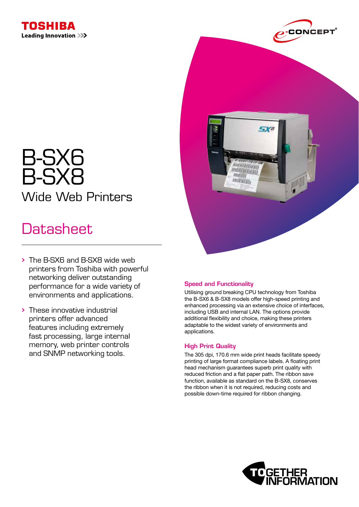



# B-SX6 B-SX8 Wide Web Printers

## **Datasheet**

- The B-SX6 and B-SX8 wide web printers from Toshiba with powerful networking deliver outstanding performance for a wide variety of environments and applications.
- These innovative industrial printers offer advanced features including extremely fast processing, large internal memory, web printer controls and SNMP networking tools.

## Speed and Functionality

Utilising ground breaking CPU technology from Toshiba the B-SX6 & B-SX8 models offer high-speed printing and enhanced processing via an extensive choice of interfaces, including USB and internal LAN. The options provide additional flexibility and choice, making these printers adaptable to the widest variety of environments and applications.

**ROSY** 

rmitisism

## High Print Quality

The 305 dpi, 170.6 mm wide print heads facilitate speedy printing of large format compliance labels. A floating print head mechanism guarantees superb print quality with reduced friction and a flat paper path. The ribbon save function, available as standard on the B-SX8, conserves the ribbon when it is not required, reducing costs and possible down-time required for ribbon changing.